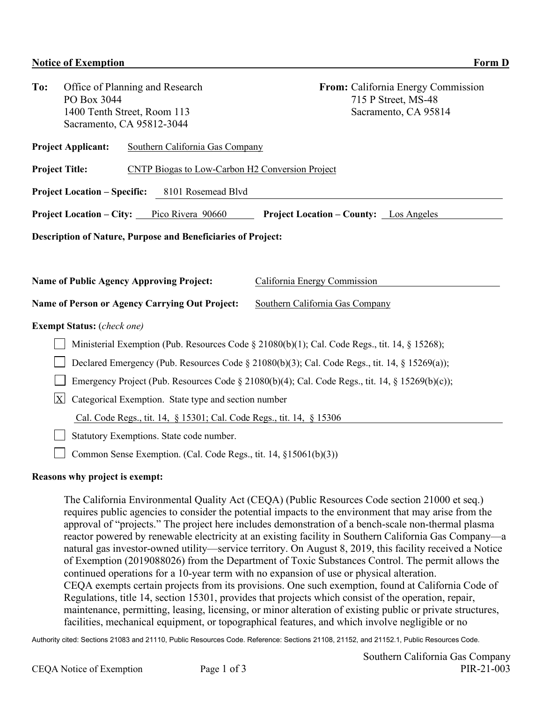| To:                                                                                                 | Office of Planning and Research<br>PO Box 3044                   |                                                        | From: California Energy Commission<br>715 P Street, MS-48 |  |  |  |  |
|-----------------------------------------------------------------------------------------------------|------------------------------------------------------------------|--------------------------------------------------------|-----------------------------------------------------------|--|--|--|--|
|                                                                                                     |                                                                  | 1400 Tenth Street, Room 113                            | Sacramento, CA 95814                                      |  |  |  |  |
|                                                                                                     |                                                                  | Sacramento, CA 95812-3044                              |                                                           |  |  |  |  |
|                                                                                                     |                                                                  |                                                        |                                                           |  |  |  |  |
| <b>Project Applicant:</b><br>Southern California Gas Company                                        |                                                                  |                                                        |                                                           |  |  |  |  |
|                                                                                                     | <b>Project Title:</b>                                            | <b>CNTP Biogas to Low-Carbon H2 Conversion Project</b> |                                                           |  |  |  |  |
| 8101 Rosemead Blvd<br><b>Project Location – Specific:</b>                                           |                                                                  |                                                        |                                                           |  |  |  |  |
| <b>Project Location – City:</b> Pico Rivera 90660<br><b>Project Location – County:</b> Los Angeles  |                                                                  |                                                        |                                                           |  |  |  |  |
| <b>Description of Nature, Purpose and Beneficiaries of Project:</b>                                 |                                                                  |                                                        |                                                           |  |  |  |  |
|                                                                                                     |                                                                  |                                                        |                                                           |  |  |  |  |
|                                                                                                     |                                                                  |                                                        |                                                           |  |  |  |  |
| <b>Name of Public Agency Approving Project:</b>                                                     |                                                                  |                                                        | California Energy Commission                              |  |  |  |  |
|                                                                                                     |                                                                  | Name of Person or Agency Carrying Out Project:         | Southern California Gas Company                           |  |  |  |  |
| <b>Exempt Status:</b> (check one)                                                                   |                                                                  |                                                        |                                                           |  |  |  |  |
| Ministerial Exemption (Pub. Resources Code $\S$ 21080(b)(1); Cal. Code Regs., tit. 14, $\S$ 15268); |                                                                  |                                                        |                                                           |  |  |  |  |
| Declared Emergency (Pub. Resources Code § 21080(b)(3); Cal. Code Regs., tit. 14, § 15269(a));       |                                                                  |                                                        |                                                           |  |  |  |  |
| Emergency Project (Pub. Resources Code § 21080(b)(4); Cal. Code Regs., tit. 14, § 15269(b)(c));     |                                                                  |                                                        |                                                           |  |  |  |  |
| $\overline{\text{X}}$<br>Categorical Exemption. State type and section number                       |                                                                  |                                                        |                                                           |  |  |  |  |
| Cal. Code Regs., tit. 14, § 15301; Cal. Code Regs., tit. 14, § 15306                                |                                                                  |                                                        |                                                           |  |  |  |  |
| Statutory Exemptions. State code number.                                                            |                                                                  |                                                        |                                                           |  |  |  |  |
|                                                                                                     | Common Sense Exemption. (Cal. Code Regs., tit. 14, §15061(b)(3)) |                                                        |                                                           |  |  |  |  |

## **Reasons why project is exempt:**

The California Environmental Quality Act (CEQA) (Public Resources Code section 21000 et seq.) requires public agencies to consider the potential impacts to the environment that may arise from the approval of "projects." The project here includes demonstration of a bench-scale non-thermal plasma reactor powered by renewable electricity at an existing facility in Southern California Gas Company—a natural gas investor-owned utility—service territory. On August 8, 2019, this facility received a Notice of Exemption (2019088026) from the Department of Toxic Substances Control. The permit allows the continued operations for a 10-year term with no expansion of use or physical alteration. CEQA exempts certain projects from its provisions. One such exemption, found at California Code of Regulations, title 14, section 15301, provides that projects which consist of the operation, repair, maintenance, permitting, leasing, licensing, or minor alteration of existing public or private structures, facilities, mechanical equipment, or topographical features, and which involve negligible or no

Authority cited: Sections 21083 and 21110, Public Resources Code. Reference: Sections 21108, 21152, and 21152.1, Public Resources Code.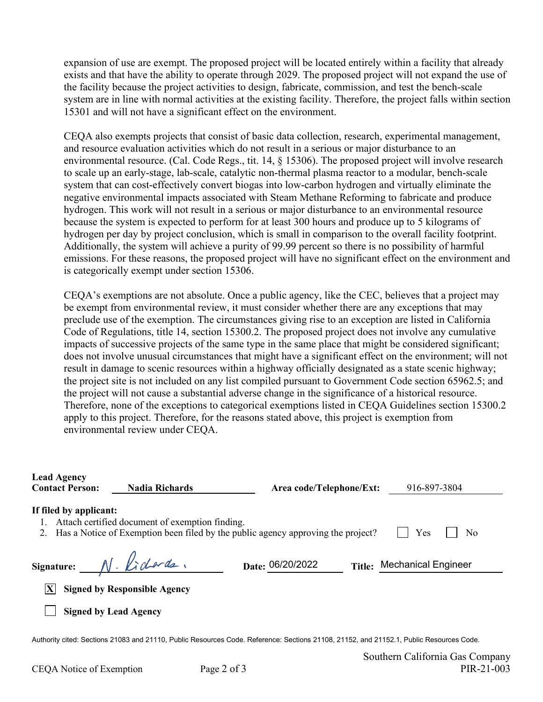expansion of use are exempt. The proposed project will be located entirely within a facility that already exists and that have the ability to operate through 2029. The proposed project will not expand the use of the facility because the project activities to design, fabricate, commission, and test the bench-scale system are in line with normal activities at the existing facility. Therefore, the project falls within section 15301 and will not have a significant effect on the environment.

CEQA also exempts projects that consist of basic data collection, research, experimental management, and resource evaluation activities which do not result in a serious or major disturbance to an environmental resource. (Cal. Code Regs., tit. 14, § 15306). The proposed project will involve research to scale up an early-stage, lab-scale, catalytic non-thermal plasma reactor to a modular, bench-scale system that can cost-effectively convert biogas into low-carbon hydrogen and virtually eliminate the negative environmental impacts associated with Steam Methane Reforming to fabricate and produce hydrogen. This work will not result in a serious or major disturbance to an environmental resource because the system is expected to perform for at least 300 hours and produce up to 5 kilograms of hydrogen per day by project conclusion, which is small in comparison to the overall facility footprint. Additionally, the system will achieve a purity of 99.99 percent so there is no possibility of harmful emissions. For these reasons, the proposed project will have no significant effect on the environment and is categorically exempt under section 15306.

CEQA's exemptions are not absolute. Once a public agency, like the CEC, believes that a project may be exempt from environmental review, it must consider whether there are any exceptions that may preclude use of the exemption. The circumstances giving rise to an exception are listed in California Code of Regulations, title 14, section 15300.2. The proposed project does not involve any cumulative impacts of successive projects of the same type in the same place that might be considered significant; does not involve unusual circumstances that might have a significant effect on the environment; will not result in damage to scenic resources within a highway officially designated as a state scenic highway; the project site is not included on any list compiled pursuant to Government Code section 65962.5; and the project will not cause a substantial adverse change in the significance of a historical resource. Therefore, none of the exceptions to categorical exemptions listed in CEQA Guidelines section 15300.2 apply to this project. Therefore, for the reasons stated above, this project is exemption from environmental review under CEQA.

| <b>Lead Agency</b><br><b>Contact Person:</b>                                                                                                                                            | <b>Nadia Richards</b>               | Area code/Telephone/Ext: |               | 916-897-3804               |  |  |  |  |
|-----------------------------------------------------------------------------------------------------------------------------------------------------------------------------------------|-------------------------------------|--------------------------|---------------|----------------------------|--|--|--|--|
| If filed by applicant:<br>Attach certified document of exemption finding.<br>Yes<br>Has a Notice of Exemption been filed by the public agency approving the project?<br>No              |                                     |                          |               |                            |  |  |  |  |
| Signature: N. Lidards.                                                                                                                                                                  |                                     | Date: 06/20/2022         | <b>Title:</b> | <b>Mechanical Engineer</b> |  |  |  |  |
|                                                                                                                                                                                         | <b>Signed by Responsible Agency</b> |                          |               |                            |  |  |  |  |
| <b>Signed by Lead Agency</b>                                                                                                                                                            |                                     |                          |               |                            |  |  |  |  |
| Authority cited: Sections 21083 and 21110, Public Resources Code. Reference: Sections 21108, 21152, and 21152.1, Public Resources Code.<br>$\alpha$ $\alpha$ $\alpha$ $\alpha$ $\alpha$ |                                     |                          |               |                            |  |  |  |  |